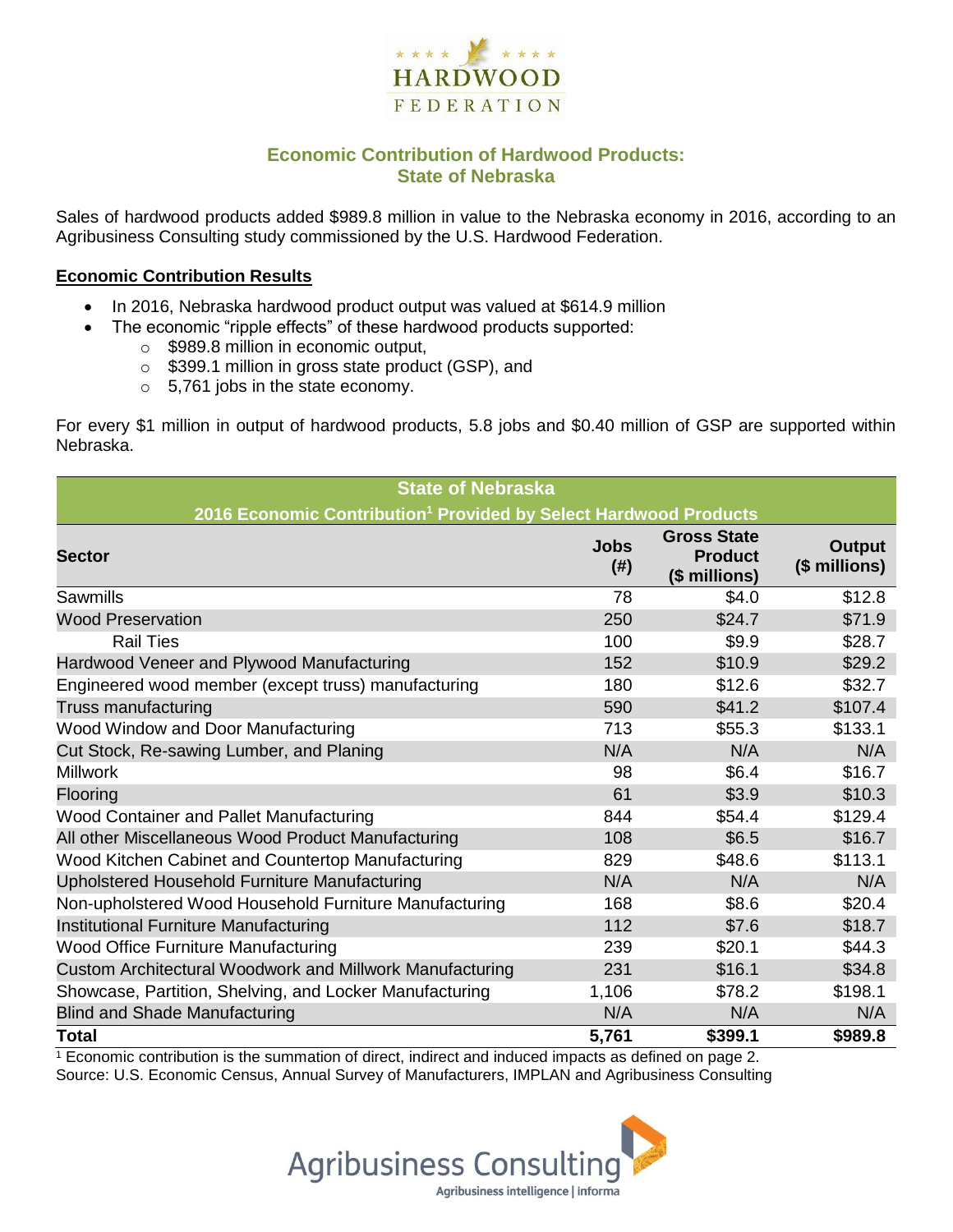

## **Economic Contribution of Hardwood Products: State of Nebraska**

Sales of hardwood products added \$989.8 million in value to the Nebraska economy in 2016, according to an Agribusiness Consulting study commissioned by the U.S. Hardwood Federation.

#### **Economic Contribution Results**

- In 2016, Nebraska hardwood product output was valued at \$614.9 million
	- The economic "ripple effects" of these hardwood products supported:
		- o \$989.8 million in economic output,
		- o \$399.1 million in gross state product (GSP), and
		- o 5,761 jobs in the state economy.

For every \$1 million in output of hardwood products, 5.8 jobs and \$0.40 million of GSP are supported within Nebraska.

| <b>State of Nebraska</b>                                                     |                     |                                                       |                         |  |  |  |
|------------------------------------------------------------------------------|---------------------|-------------------------------------------------------|-------------------------|--|--|--|
| 2016 Economic Contribution <sup>1</sup> Provided by Select Hardwood Products |                     |                                                       |                         |  |  |  |
| <b>Sector</b>                                                                | <b>Jobs</b><br>(# ) | <b>Gross State</b><br><b>Product</b><br>(\$ millions) | Output<br>(\$ millions) |  |  |  |
| Sawmills                                                                     | 78                  | \$4.0                                                 | \$12.8                  |  |  |  |
| <b>Wood Preservation</b>                                                     | 250                 | \$24.7                                                | \$71.9                  |  |  |  |
| <b>Rail Ties</b>                                                             | 100                 | \$9.9                                                 | \$28.7                  |  |  |  |
| Hardwood Veneer and Plywood Manufacturing                                    | 152                 | \$10.9                                                | \$29.2                  |  |  |  |
| Engineered wood member (except truss) manufacturing                          | 180                 | \$12.6                                                | \$32.7                  |  |  |  |
| Truss manufacturing                                                          | 590                 | \$41.2                                                | \$107.4                 |  |  |  |
| Wood Window and Door Manufacturing                                           | 713                 | \$55.3                                                | \$133.1                 |  |  |  |
| Cut Stock, Re-sawing Lumber, and Planing                                     | N/A                 | N/A                                                   | N/A                     |  |  |  |
| <b>Millwork</b>                                                              | 98                  | \$6.4                                                 | \$16.7                  |  |  |  |
| Flooring                                                                     | 61                  | \$3.9                                                 | \$10.3                  |  |  |  |
| Wood Container and Pallet Manufacturing                                      | 844                 | \$54.4                                                | \$129.4                 |  |  |  |
| All other Miscellaneous Wood Product Manufacturing                           | 108                 | \$6.5                                                 | \$16.7                  |  |  |  |
| Wood Kitchen Cabinet and Countertop Manufacturing                            | 829                 | \$48.6                                                | \$113.1                 |  |  |  |
| Upholstered Household Furniture Manufacturing                                | N/A                 | N/A                                                   | N/A                     |  |  |  |
| Non-upholstered Wood Household Furniture Manufacturing                       | 168                 | \$8.6                                                 | \$20.4                  |  |  |  |
| Institutional Furniture Manufacturing                                        | 112                 | \$7.6                                                 | \$18.7                  |  |  |  |
| <b>Wood Office Furniture Manufacturing</b>                                   | 239                 | \$20.1                                                | \$44.3                  |  |  |  |
| Custom Architectural Woodwork and Millwork Manufacturing                     | 231                 | \$16.1                                                | \$34.8                  |  |  |  |
| Showcase, Partition, Shelving, and Locker Manufacturing                      | 1,106               | \$78.2                                                | \$198.1                 |  |  |  |
| <b>Blind and Shade Manufacturing</b>                                         | N/A                 | N/A                                                   | N/A                     |  |  |  |
| <b>Total</b>                                                                 | 5,761               | \$399.1                                               | \$989.8                 |  |  |  |

 $1$  Economic contribution is the summation of direct, indirect and induced impacts as defined on page 2. Source: U.S. Economic Census, Annual Survey of Manufacturers, IMPLAN and Agribusiness Consulting